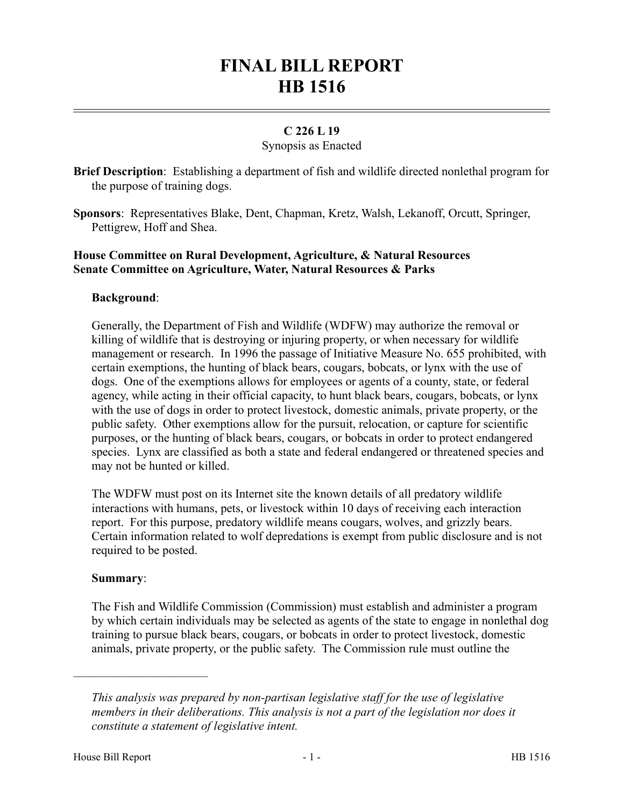# **FINAL BILL REPORT HB 1516**

## **C 226 L 19**

#### Synopsis as Enacted

**Brief Description**: Establishing a department of fish and wildlife directed nonlethal program for the purpose of training dogs.

**Sponsors**: Representatives Blake, Dent, Chapman, Kretz, Walsh, Lekanoff, Orcutt, Springer, Pettigrew, Hoff and Shea.

## **House Committee on Rural Development, Agriculture, & Natural Resources Senate Committee on Agriculture, Water, Natural Resources & Parks**

### **Background**:

Generally, the Department of Fish and Wildlife (WDFW) may authorize the removal or killing of wildlife that is destroying or injuring property, or when necessary for wildlife management or research. In 1996 the passage of Initiative Measure No. 655 prohibited, with certain exemptions, the hunting of black bears, cougars, bobcats, or lynx with the use of dogs. One of the exemptions allows for employees or agents of a county, state, or federal agency, while acting in their official capacity, to hunt black bears, cougars, bobcats, or lynx with the use of dogs in order to protect livestock, domestic animals, private property, or the public safety. Other exemptions allow for the pursuit, relocation, or capture for scientific purposes, or the hunting of black bears, cougars, or bobcats in order to protect endangered species. Lynx are classified as both a state and federal endangered or threatened species and may not be hunted or killed.

The WDFW must post on its Internet site the known details of all predatory wildlife interactions with humans, pets, or livestock within 10 days of receiving each interaction report. For this purpose, predatory wildlife means cougars, wolves, and grizzly bears. Certain information related to wolf depredations is exempt from public disclosure and is not required to be posted.

#### **Summary**:

––––––––––––––––––––––

The Fish and Wildlife Commission (Commission) must establish and administer a program by which certain individuals may be selected as agents of the state to engage in nonlethal dog training to pursue black bears, cougars, or bobcats in order to protect livestock, domestic animals, private property, or the public safety. The Commission rule must outline the

*This analysis was prepared by non-partisan legislative staff for the use of legislative members in their deliberations. This analysis is not a part of the legislation nor does it constitute a statement of legislative intent.*